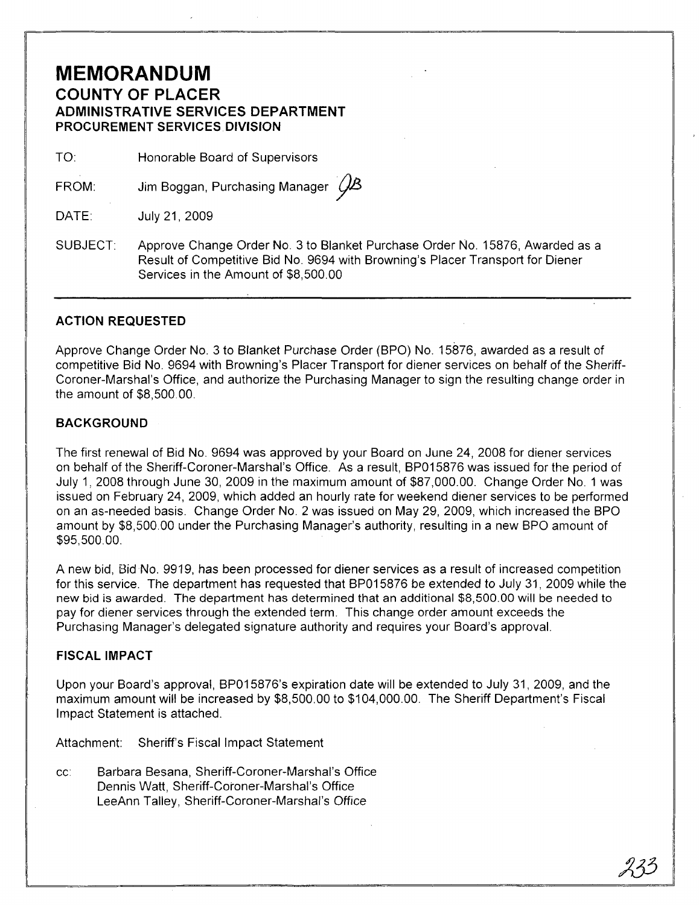### **MEMORANDUM COUNTY OF PLACER ADMINISTRATIVE SERVICES DEPARTMENT PROCUREMENT** SERVICES DIVISION

TO: Honorable Board of Supervisors

FROM: Jim Boggan, Purchasing Manager  $\mathcal{C}\!\mathcal{B}$ 

DATE: July 21,2009

SUBJECT: Approve Change Order No. 3 to Blanket Purchase Order No. 15876, Awarded as a Result of Competitive Bid No. 9694 with Browning's Placer Transport for Diener Services in the Amount of \$8,500.00

#### **ACTION REQUESTED**

Approve Change Order NO.3 to Blanket Purchase Order (BPO) No. 15876, awarded as a result of competitive Bid No. 9694 with Browning's Placer Transport for diener services on behalf of the Sheriff-Coroner-Marshal's Office, and authorize the Purchasing Manager to sign the resulting change order in the amount of \$8,500.00.

#### **BACKGROUND**

The first renewal of Bid No. 9694 was approved by your Board on June 24, 2008 for diener services on behalf of the Sheriff-Coroner-Marshal's Office. As a result, BP015876 was issued for the period of July 1, 2008 through June 30, 2009 in the maximum amount of \$87,000.00. Change Order NO.1 was issued on February 24, 2009, which added an hourly rate for weekend diener services to be performed on an as-needed basis. Change Order No. 2 was issued on May 29, 2009, which increased the BPO amount by \$8,500.00 under the Purchasing Manager's authority, resulting in a new BPO amount of \$95,500.00.

A new bid, Bid No. 9919, has been processed for diener services as a result of increased competition for this service. The department has requested that BP015876 be extended to July 31, 2009 while the new bid is awarded. The department has determined that an additional \$8,500.00 will be needed to pay for diener services through the extended term. This change order amount exceeds the Purchasing Manager's delegated signature authority and requires your Board's approval.

#### **FISCAL IMPACT**

Upon your Board's approval, BP015876's expiration date will be extended to July 31, 2009, and the maximum amount will be increased by \$8,500.00 to \$104,000.00. The Sheriff Department's Fiscal Impact Statement is attached.

Attachment: Sheriff's Fiscal Impact Statement

cc: Barbara Besana, Sheriff-Coroner-Marshal's Office Dennis Watt, Sheriff-Coroner-Marshal's Office LeeAnn Talley, Sheriff-Coroner-Marshal's Office